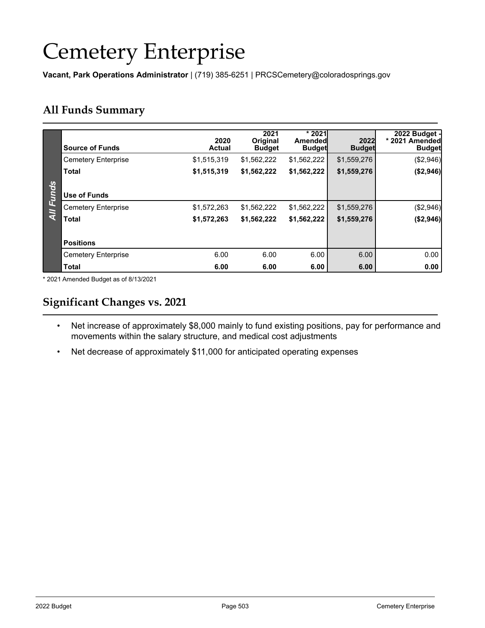# Cemetery Enterprise

**Vacant, Park Operations Administrator** | (719) 385-6251 | PRCSCemetery@coloradosprings.gov

## **All Funds Summary**

|                | <b>Source of Funds</b>     | 2020<br><b>Actual</b> | 2021<br><b>Original</b><br><b>Budget</b> | $*2021$<br>Amendedl<br><b>Budget</b> | 2022<br><b>Budget</b> | 2022 Budget -<br>* 2021 Amended<br><b>Budget</b> |
|----------------|----------------------------|-----------------------|------------------------------------------|--------------------------------------|-----------------------|--------------------------------------------------|
|                | <b>Cemetery Enterprise</b> | \$1,515,319           | \$1,562,222                              | \$1,562,222                          | \$1,559,276           | (\$2,946)                                        |
|                | Total                      | \$1,515,319           | \$1,562,222                              | \$1,562,222                          | \$1,559,276           | (\$2,946)                                        |
|                |                            |                       |                                          |                                      |                       |                                                  |
| <b>Funds</b>   | Use of Funds               |                       |                                          |                                      |                       |                                                  |
| $\overline{M}$ | <b>Cemetery Enterprise</b> | \$1,572,263           | \$1,562,222                              | \$1,562,222                          | \$1,559,276           | (\$2,946)                                        |
|                | <b>Total</b>               | \$1,572,263           | \$1,562,222                              | \$1,562,222                          | \$1,559,276           | (\$2,946)                                        |
|                |                            |                       |                                          |                                      |                       |                                                  |
|                | <b>Positions</b>           |                       |                                          |                                      |                       |                                                  |
|                | <b>Cemetery Enterprise</b> | 6.00                  | 6.00                                     | 6.00                                 | 6.00                  | 0.00                                             |
|                | <b>Total</b>               | 6.00                  | 6.00                                     | 6.00                                 | 6.00                  | 0.00                                             |

\* 2021 Amended Budget as of 8/13/2021

## **Significant Changes vs. 2021**

- Net increase of approximately \$8,000 mainly to fund existing positions, pay for performance and movements within the salary structure, and medical cost adjustments
- Net decrease of approximately \$11,000 for anticipated operating expenses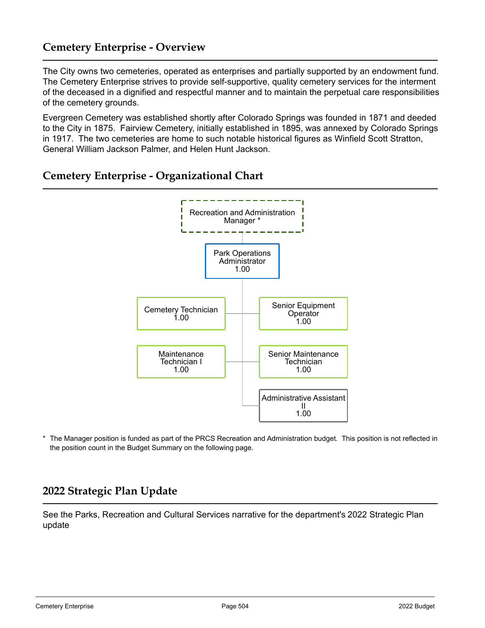## **Cemetery Enterprise - Overview**

The City owns two cemeteries, operated as enterprises and partially supported by an endowment fund. The Cemetery Enterprise strives to provide self-supportive, quality cemetery services for the interment of the deceased in a dignified and respectful manner and to maintain the perpetual care responsibilities of the cemetery grounds.

Evergreen Cemetery was established shortly after Colorado Springs was founded in 1871 and deeded to the City in 1875. Fairview Cemetery, initially established in 1895, was annexed by Colorado Springs in 1917. The two cemeteries are home to such notable historical figures as Winfield Scott Stratton, General William Jackson Palmer, and Helen Hunt Jackson.



## **Cemetery Enterprise - Organizational Chart**

The Manager position is funded as part of the PRCS Recreation and Administration budget. This position is not reflected in the position count in the Budget Summary on the following page.

## **2022 Strategic Plan Update**

See the Parks, Recreation and Cultural Services narrative for the department's 2022 Strategic Plan update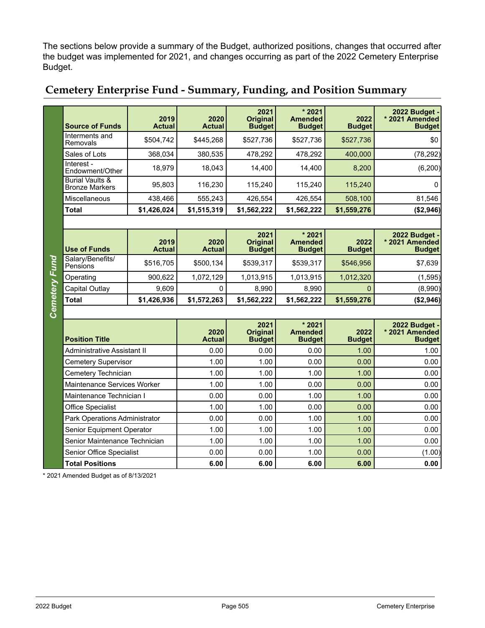The sections below provide a summary of the Budget, authorized positions, changes that occurred after the budget was implemented for 2021, and changes occurring as part of the 2022 Cemetery Enterprise Budget.

|               | <b>Source of Funds</b>                              | 2019<br><b>Actual</b> | 2020<br><b>Actual</b> | 2021<br><b>Original</b><br><b>Budget</b> | $*2021$<br><b>Amended</b><br><b>Budget</b> | 2022<br><b>Budget</b> | 2022 Budget -<br>* 2021 Amended<br><b>Budget</b>        |  |  |
|---------------|-----------------------------------------------------|-----------------------|-----------------------|------------------------------------------|--------------------------------------------|-----------------------|---------------------------------------------------------|--|--|
|               | Interments and<br>Removals                          | \$504,742             | \$445,268             | \$527,736                                | \$527,736                                  | \$527,736             | \$0                                                     |  |  |
|               | Sales of Lots                                       | 368,034               | 380,535               | 478,292                                  | 478,292                                    | 400,000               | (78, 292)                                               |  |  |
|               | Interest -<br>Endowment/Other                       | 18,979                | 18,043                | 14,400                                   | 14,400                                     | 8,200                 | (6, 200)                                                |  |  |
|               | <b>Burial Vaults &amp;</b><br><b>Bronze Markers</b> | 95.803                | 116,230               | 115,240                                  | 115,240                                    | 115,240               | $\mathbf{0}$                                            |  |  |
|               | Miscellaneous                                       | 438,466               | 555,243               | 426,554                                  | 426,554                                    | 508,100               | 81,546                                                  |  |  |
|               | <b>Total</b>                                        | \$1,426,024           | \$1,515,319           | \$1,562,222                              | \$1,562,222                                | \$1,559,276           | (\$2,946)                                               |  |  |
|               |                                                     |                       |                       |                                          |                                            |                       |                                                         |  |  |
|               | <b>Use of Funds</b>                                 | 2019<br><b>Actual</b> | 2020<br><b>Actual</b> | 2021<br><b>Original</b><br><b>Budget</b> | $*2021$<br><b>Amended</b><br><b>Budget</b> | 2022<br><b>Budget</b> | 2022 Budget -<br>* 2021 Amended<br><b>Budget</b>        |  |  |
| Cemetery Fund | Salary/Benefits/<br>Pensions                        | \$516,705             | \$500,134             | \$539,317                                | \$539,317                                  | \$546,956             | \$7,639                                                 |  |  |
|               | Operating                                           | 900,622               | 1,072,129             | 1,013,915                                | 1,013,915                                  | 1,012,320             | (1, 595)                                                |  |  |
|               | <b>Capital Outlay</b>                               | 9,609                 | 0                     | 8,990                                    | 8,990                                      | $\mathbf{0}$          | (8,990)                                                 |  |  |
|               | <b>Total</b>                                        | \$1,426,936           | \$1,572,263           | \$1,562,222                              | \$1,562,222                                | \$1,559,276           | (\$2,946)                                               |  |  |
|               |                                                     |                       |                       |                                          |                                            |                       |                                                         |  |  |
|               | <b>Position Title</b>                               |                       | 2020<br><b>Actual</b> | 2021<br><b>Original</b><br><b>Budget</b> | $*2021$<br><b>Amended</b><br><b>Budget</b> | 2022<br><b>Budget</b> | <b>2022 Budget -</b><br>* 2021 Amended<br><b>Budget</b> |  |  |
|               | Administrative Assistant II                         |                       | 0.00                  | 0.00                                     | 0.00                                       | 1.00                  | 1.00                                                    |  |  |
|               | <b>Cemetery Supervisor</b>                          |                       | 1.00                  | 1.00                                     | 0.00                                       | 0.00                  | 0.00                                                    |  |  |
|               | Cemetery Technician                                 |                       | 1.00                  | 1.00                                     | 1.00                                       | 1.00                  | 0.00                                                    |  |  |
|               | Maintenance Services Worker                         |                       | 1.00                  | 1.00                                     | 0.00                                       | 0.00                  | 0.00                                                    |  |  |
|               | Maintenance Technician I                            |                       | 0.00                  | 0.00                                     | 1.00                                       | 1.00                  | 0.00                                                    |  |  |
|               | <b>Office Specialist</b>                            |                       | 1.00                  | 1.00                                     | 0.00                                       | 0.00                  | 0.00                                                    |  |  |
|               | Park Operations Administrator                       |                       | 0.00                  | 0.00                                     | 1.00                                       | 1.00                  | 0.00                                                    |  |  |
|               | Senior Equipment Operator                           |                       | 1.00                  | 1.00                                     | 1.00                                       | 1.00                  | 0.00                                                    |  |  |
|               | Senior Maintenance Technician                       |                       | 1.00                  | 1.00                                     | 1.00                                       | 1.00                  | 0.00                                                    |  |  |
|               | Senior Office Specialist                            |                       | 0.00                  | 0.00                                     | 1.00                                       | 0.00                  | (1.00)                                                  |  |  |
|               | <b>Total Positions</b>                              |                       | 6.00                  | 6.00                                     | 6.00                                       | 6.00                  | 0.00                                                    |  |  |

## **Cemetery Enterprise Fund - Summary, Funding, and Position Summary**

\* 2021 Amended Budget as of 8/13/2021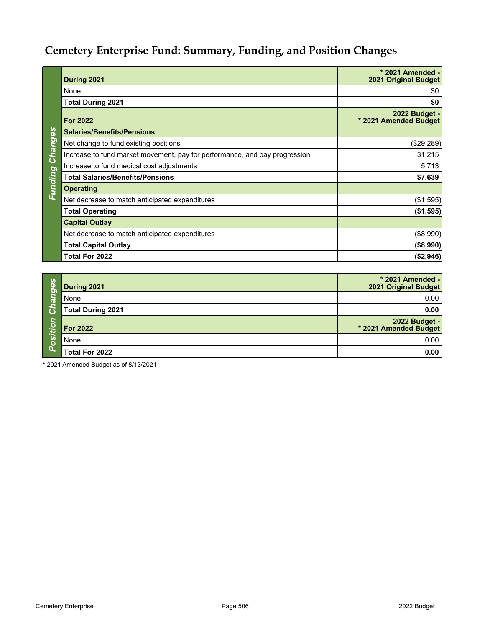# **Cemetery Enterprise Fund: Summary, Funding, and Position Changes**

|                | During 2021                                                                | * 2021 Amended -<br><b>2021 Original Budget</b> |  |  |  |
|----------------|----------------------------------------------------------------------------|-------------------------------------------------|--|--|--|
|                | None                                                                       | \$0                                             |  |  |  |
|                | <b>Total During 2021</b>                                                   | \$0                                             |  |  |  |
|                | <b>For 2022</b>                                                            | 2022 Budget -<br>* 2021 Amended Budget          |  |  |  |
|                | <b>Salaries/Benefits/Pensions</b>                                          |                                                 |  |  |  |
|                | Net change to fund existing positions                                      | (\$29,289)                                      |  |  |  |
| Changes        | Increase to fund market movement, pay for performance, and pay progression | 31,215                                          |  |  |  |
|                | Increase to fund medical cost adjustments                                  | 5,713                                           |  |  |  |
| <b>Funding</b> | <b>Total Salaries/Benefits/Pensions</b>                                    | \$7,639                                         |  |  |  |
|                | <b>Operating</b>                                                           |                                                 |  |  |  |
|                | Net decrease to match anticipated expenditures                             | (\$1,595)                                       |  |  |  |
|                | <b>Total Operating</b>                                                     | (\$1,595)                                       |  |  |  |
|                | <b>Capital Outlay</b>                                                      |                                                 |  |  |  |
|                | Net decrease to match anticipated expenditures                             | (\$8,990)                                       |  |  |  |
|                | <b>Total Capital Outlay</b>                                                | (\$8,990)                                       |  |  |  |
|                | Total For 2022                                                             | (\$2,946)                                       |  |  |  |

| 89<br>ত                 | During 2021              | * 2021 Amended -<br><b>2021 Original Budget</b> |
|-------------------------|--------------------------|-------------------------------------------------|
| $\overline{\mathbf{e}}$ | None                     | 0.00                                            |
|                         | <b>Total During 2021</b> | 0.00                                            |
| $\circ$<br>⊷            | <b>For 2022</b>          | 2022 Budget -<br>* 2021 Amended Budget          |
| <b>OS</b>               | None                     | 0.00                                            |
|                         | Total For 2022           | 0.00                                            |

\* 2021 Amended Budget as of 8/13/2021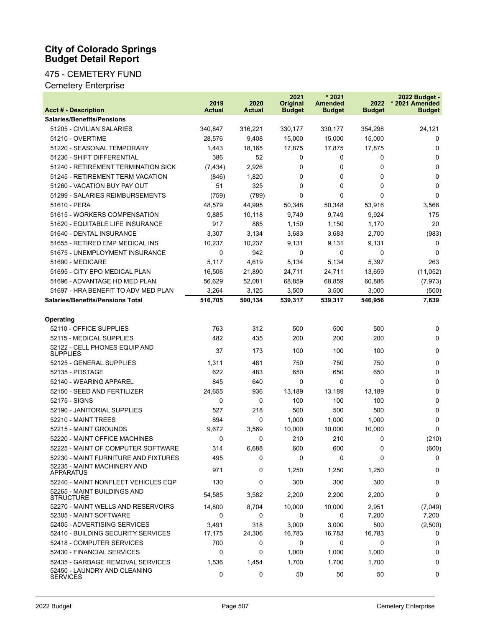#### **City of Colorado Springs Budget Detail Report**

## 475 - CEMETERY FUND

Cemetery Enterprise

| <b>Acct # - Description</b>                                                         | 2019<br><b>Actual</b> | 2020<br><b>Actual</b> | 2021<br><b>Original</b><br><b>Budget</b> | $*2021$<br><b>Amended</b><br><b>Budget</b> | 2022<br><b>Budget</b> | 2022 Budget -<br>* 2021 Amended<br><b>Budget</b> |
|-------------------------------------------------------------------------------------|-----------------------|-----------------------|------------------------------------------|--------------------------------------------|-----------------------|--------------------------------------------------|
| <b>Salaries/Benefits/Pensions</b>                                                   |                       |                       |                                          |                                            |                       |                                                  |
| 51205 - CIVILIAN SALARIES                                                           | 340,847               | 316,221               | 330,177                                  | 330,177                                    | 354,298               | 24,121                                           |
| <b>51210 - OVERTIME</b>                                                             | 28,576                | 9,408                 | 15,000                                   | 15,000                                     | 15,000                | 0                                                |
| 51220 - SEASONAL TEMPORARY                                                          | 1,443                 | 18,165                | 17,875                                   | 17,875                                     | 17,875                | 0                                                |
| 51230 - SHIFT DIFFERENTIAL                                                          | 386                   | 52                    | 0                                        | 0                                          | 0                     | 0                                                |
| 51240 - RETIREMENT TERMINATION SICK                                                 | (7, 434)              | 2,926                 | 0                                        | 0                                          | 0                     | 0                                                |
| 51245 - RETIREMENT TERM VACATION                                                    | (846)                 | 1,820                 | 0                                        | 0                                          | 0                     | 0                                                |
| 51260 - VACATION BUY PAY OUT                                                        | 51                    | 325                   | 0                                        | 0                                          | 0                     | 0                                                |
| 51299 - SALARIES REIMBURSEMENTS                                                     | (759)                 | (789)                 | 0                                        | 0                                          | 0                     | $\Omega$                                         |
| 51610 - PERA                                                                        | 48,579                | 44,995                | 50,348                                   | 50,348                                     | 53,916                | 3,568                                            |
| 51615 - WORKERS COMPENSATION                                                        | 9,885                 | 10,118                | 9,749                                    | 9,749                                      | 9,924                 | 175                                              |
| 51620 - EQUITABLE LIFE INSURANCE                                                    | 917                   | 865                   | 1,150                                    | 1,150                                      | 1,170                 | 20                                               |
| 51640 - DENTAL INSURANCE                                                            | 3,307                 | 3,134                 | 3,683                                    | 3,683                                      | 2,700                 | (983)                                            |
| 51655 - RETIRED EMP MEDICAL INS                                                     | 10,237                | 10,237                | 9,131                                    | 9,131                                      | 9,131                 | 0                                                |
| 51675 - UNEMPLOYMENT INSURANCE                                                      | 0                     | 942                   | 0                                        | 0                                          | 0                     | 0                                                |
| 51690 - MEDICARE                                                                    | 5,117                 | 4,619                 | 5,134                                    | 5,134                                      | 5,397                 | 263                                              |
| 51695 - CITY EPO MEDICAL PLAN                                                       | 16,506                | 21,890                | 24,711                                   | 24,711                                     | 13,659                | (11,052)                                         |
| 51696 - ADVANTAGE HD MED PLAN                                                       | 56,629                | 52,081                | 68,859                                   | 68,859                                     | 60,886                | (7, 973)                                         |
| 51697 - HRA BENEFIT TO ADV MED PLAN                                                 | 3,264                 | 3,125                 | 3,500                                    | 3,500                                      | 3,000                 | (500)                                            |
| <b>Salaries/Benefits/Pensions Total</b>                                             | 516,705               | 500,134               | 539,317                                  | 539,317                                    | 546,956               | 7,639                                            |
|                                                                                     |                       |                       |                                          |                                            |                       |                                                  |
| Operating                                                                           |                       |                       |                                          |                                            |                       |                                                  |
| 52110 - OFFICE SUPPLIES                                                             | 763                   | 312                   | 500                                      | 500                                        | 500                   | 0                                                |
| 52115 - MEDICAL SUPPLIES                                                            | 482                   | 435                   | 200                                      | 200                                        | 200                   | 0                                                |
| 52122 - CELL PHONES EQUIP AND<br><b>SUPPLIES</b>                                    | 37                    | 173                   | 100                                      | 100                                        | 100                   | 0                                                |
| 52125 - GENERAL SUPPLIES                                                            | 1,311                 | 481                   | 750                                      | 750                                        | 750                   | 0                                                |
| 52135 - POSTAGE                                                                     | 622                   | 483                   | 650                                      | 650                                        | 650                   | 0                                                |
| 52140 - WEARING APPAREL                                                             | 845                   | 640                   | 0                                        | 0                                          | 0                     | 0                                                |
| 52150 - SEED AND FERTILIZER                                                         | 24,655                | 936                   | 13,189                                   | 13,189                                     | 13,189                | 0                                                |
| 52175 - SIGNS                                                                       | 0                     | 0                     | 100                                      | 100                                        | 100                   | 0                                                |
| 52190 - JANITORIAL SUPPLIES                                                         | 527                   | 218                   | 500                                      | 500                                        | 500                   | 0                                                |
| 52210 - MAINT TREES                                                                 | 894                   | 0                     | 1,000                                    | 1,000                                      | 1,000                 | 0                                                |
| 52215 - MAINT GROUNDS                                                               | 9,672                 | 3,569                 | 10,000                                   | 10,000                                     | 10,000                | $\Omega$                                         |
| 52220 - MAINT OFFICE MACHINES                                                       | 0                     | 0                     | 210                                      | 210                                        | 0                     | (210)                                            |
| 52225 - MAINT OF COMPUTER SOFTWARE                                                  | 314                   | 6,688                 | 600                                      | 600                                        | 0                     | (600)                                            |
| 52230 - MAINT FURNITURE AND FIXTURES                                                | 495                   | 0                     | 0                                        | $\Omega$                                   | 0                     | 0                                                |
| 52235 - MAINT MACHINERY AND<br><b>APPARATUS</b>                                     | 971                   | 0                     | 1,250                                    | 1,250                                      | 1,250                 | 0                                                |
| 52240 - MAINT NONFLEET VEHICLES EQP                                                 | 130                   | 0                     | 300                                      | 300                                        | 300                   | 0                                                |
| 52265 - MAINT BUILDINGS AND<br><b>STRUCTURE</b>                                     | 54,585                | 3,582                 | 2,200                                    | 2,200                                      | 2,200                 | 0                                                |
| 52270 - MAINT WELLS AND RESERVOIRS                                                  | 14,800                | 8,704                 | 10,000                                   | 10,000                                     | 2,951                 | (7,049)                                          |
| 52305 - MAINT SOFTWARE                                                              | 0                     | 0                     | 0                                        | 0                                          | 7,200                 | 7,200                                            |
| 52405 - ADVERTISING SERVICES                                                        | 3,491                 | 318                   | 3,000                                    | 3,000                                      | 500                   | (2,500)                                          |
| 52410 - BUILDING SECURITY SERVICES                                                  | 17,175                | 24,306                | 16,783                                   | 16,783                                     | 16,783                | 0                                                |
| 52418 - COMPUTER SERVICES                                                           | 700                   | 0                     | 0                                        | 0                                          | 0                     | 0                                                |
| 52430 - FINANCIAL SERVICES                                                          | $\mathbf 0$           | 0                     | 1,000                                    | 1,000                                      | 1,000                 | 0                                                |
| 52435 - GARBAGE REMOVAL SERVICES<br>52450 - LAUNDRY AND CLEANING<br><b>SERVICES</b> | 1,536<br>0            | 1,454<br>0            | 1,700<br>50                              | 1,700<br>50                                | 1,700<br>50           | 0<br>0                                           |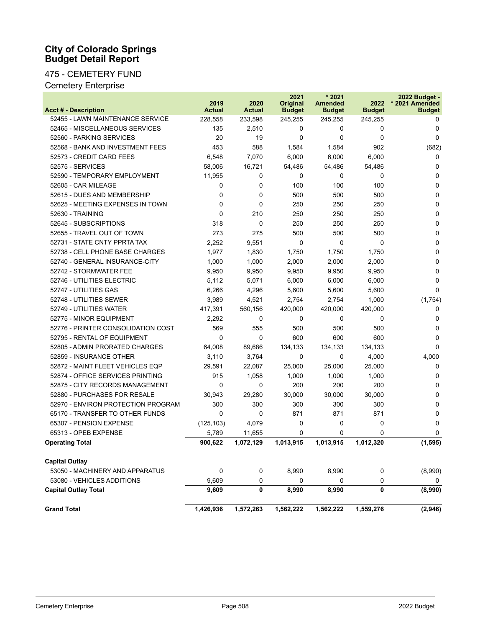#### **City of Colorado Springs Budget Detail Report**

#### 475 - CEMETERY FUND

Cemetery Enterprise

| <b>Acct # - Description</b>        | 2019<br><b>Actual</b> | 2020<br><b>Actual</b> | 2021<br>Original<br><b>Budget</b> | $*2021$<br><b>Amended</b><br><b>Budget</b> | 2022<br><b>Budget</b> | 2022 Budget -<br>* 2021 Amended<br><b>Budget</b> |
|------------------------------------|-----------------------|-----------------------|-----------------------------------|--------------------------------------------|-----------------------|--------------------------------------------------|
| 52455 - LAWN MAINTENANCE SERVICE   | 228,558               | 233,598               | 245,255                           | 245,255                                    | 245,255               | 0                                                |
| 52465 - MISCELLANEOUS SERVICES     | 135                   | 2,510                 | 0                                 | 0                                          | 0                     | $\Omega$                                         |
| 52560 - PARKING SERVICES           | 20                    | 19                    | 0                                 | $\Omega$                                   | 0                     | $\Omega$                                         |
| 52568 - BANK AND INVESTMENT FEES   | 453                   | 588                   | 1,584                             | 1,584                                      | 902                   | (682)                                            |
| 52573 - CREDIT CARD FEES           | 6,548                 | 7,070                 | 6,000                             | 6,000                                      | 6,000                 | $\Omega$                                         |
| 52575 - SERVICES                   | 58,006                | 16,721                | 54,486                            | 54,486                                     | 54,486                | 0                                                |
| 52590 - TEMPORARY EMPLOYMENT       | 11,955                | 0                     | 0                                 | $\Omega$                                   | 0                     | $\Omega$                                         |
| 52605 - CAR MILEAGE                | 0                     | 0                     | 100                               | 100                                        | 100                   | $\Omega$                                         |
| 52615 - DUES AND MEMBERSHIP        | 0                     | $\Omega$              | 500                               | 500                                        | 500                   | $\Omega$                                         |
| 52625 - MEETING EXPENSES IN TOWN   | 0                     | $\Omega$              | 250                               | 250                                        | 250                   | $\Omega$                                         |
| 52630 - TRAINING                   | 0                     | 210                   | 250                               | 250                                        | 250                   | $\Omega$                                         |
| 52645 - SUBSCRIPTIONS              | 318                   | $\Omega$              | 250                               | 250                                        | 250                   | $\Omega$                                         |
| 52655 - TRAVEL OUT OF TOWN         | 273                   | 275                   | 500                               | 500                                        | 500                   | $\Omega$                                         |
| 52731 - STATE CNTY PPRTA TAX       | 2,252                 | 9,551                 | 0                                 | $\Omega$                                   | 0                     | $\mathbf{0}$                                     |
| 52738 - CELL PHONE BASE CHARGES    | 1,977                 | 1,830                 | 1,750                             | 1,750                                      | 1,750                 | $\Omega$                                         |
| 52740 - GENERAL INSURANCE-CITY     | 1,000                 | 1,000                 | 2,000                             | 2,000                                      | 2,000                 | $\Omega$                                         |
| 52742 - STORMWATER FEE             | 9,950                 | 9,950                 | 9,950                             | 9,950                                      | 9,950                 | $\Omega$                                         |
| 52746 - UTILITIES ELECTRIC         | 5,112                 | 5,071                 | 6,000                             | 6,000                                      | 6,000                 | $\Omega$                                         |
| 52747 - UTILITIES GAS              | 6,266                 | 4,296                 | 5,600                             | 5,600                                      | 5,600                 | $\Omega$                                         |
| 52748 - UTILITIES SEWER            | 3,989                 | 4,521                 | 2,754                             | 2,754                                      | 1,000                 | (1,754)                                          |
| 52749 - UTILITIES WATER            | 417,391               | 560,156               | 420,000                           | 420,000                                    | 420,000               | $\Omega$                                         |
| 52775 - MINOR EQUIPMENT            | 2,292                 | 0                     | 0                                 | $\Omega$                                   | 0                     | $\Omega$                                         |
| 52776 - PRINTER CONSOLIDATION COST | 569                   | 555                   | 500                               | 500                                        | 500                   | $\Omega$                                         |
| 52795 - RENTAL OF EQUIPMENT        | 0                     | 0                     | 600                               | 600                                        | 600                   | $\Omega$                                         |
| 52805 - ADMIN PRORATED CHARGES     | 64,008                | 89,686                | 134,133                           | 134,133                                    | 134,133               | $\Omega$                                         |
| 52859 - INSURANCE OTHER            | 3,110                 | 3,764                 | 0                                 | $\Omega$                                   | 4,000                 | 4,000                                            |
| 52872 - MAINT FLEET VEHICLES EQP   | 29,591                | 22,087                | 25,000                            | 25,000                                     | 25,000                | 0                                                |
| 52874 - OFFICE SERVICES PRINTING   | 915                   | 1,058                 | 1,000                             | 1,000                                      | 1,000                 | $\Omega$                                         |
| 52875 - CITY RECORDS MANAGEMENT    | 0                     | 0                     | 200                               | 200                                        | 200                   | $\Omega$                                         |
| 52880 - PURCHASES FOR RESALE       | 30,943                | 29,280                | 30,000                            | 30,000                                     | 30,000                | $\Omega$                                         |
| 52970 - ENVIRON PROTECTION PROGRAM | 300                   | 300                   | 300                               | 300                                        | 300                   | $\Omega$                                         |
| 65170 - TRANSFER TO OTHER FUNDS    | 0                     | 0                     | 871                               | 871                                        | 871                   | $\Omega$                                         |
| 65307 - PENSION EXPENSE            | (125, 103)            | 4,079                 | 0                                 | $\Omega$                                   | 0                     | $\Omega$                                         |
| 65313 - OPEB EXPENSE               | 5,789                 | 11,655                | 0                                 | $\Omega$                                   | 0                     | 0                                                |
| <b>Operating Total</b>             | 900,622               | 1,072,129             | 1,013,915                         | 1,013,915                                  | 1,012,320             | (1, 595)                                         |
| <b>Capital Outlay</b>              |                       |                       |                                   |                                            |                       |                                                  |
| 53050 - MACHINERY AND APPARATUS    | 0                     | 0                     | 8,990                             | 8,990                                      | 0                     | (8,990)                                          |
| 53080 - VEHICLES ADDITIONS         | 9,609                 | 0                     | 0                                 | 0                                          | 0                     | 0                                                |
| <b>Capital Outlay Total</b>        | 9,609                 | 0                     | 8,990                             | 8,990                                      | 0                     | (8,990)                                          |
| <b>Grand Total</b>                 | 1,426,936             | 1,572,263             | 1,562,222                         | 1,562,222                                  | 1,559,276             | (2,946)                                          |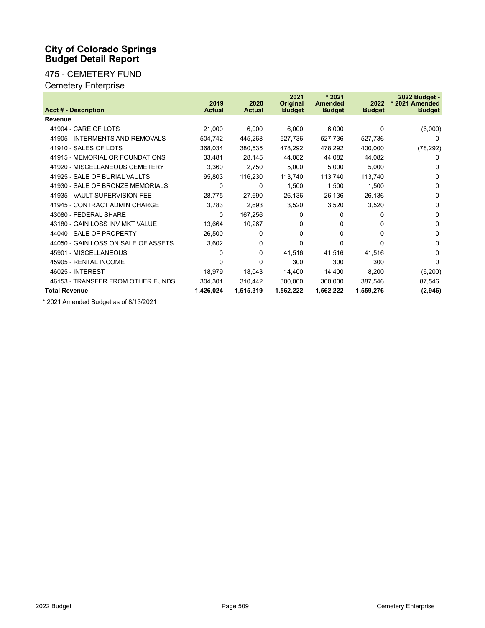#### **City of Colorado Springs Budget Detail Report**

## 475 - CEMETERY FUND

## Cemetery Enterprise

|                                     | 2019          | 2020          | 2021<br><b>Original</b> | $*2021$<br><b>Amended</b> | 2022          | 2022 Budget -<br>* 2021 Amended |
|-------------------------------------|---------------|---------------|-------------------------|---------------------------|---------------|---------------------------------|
| <b>Acct # - Description</b>         | <b>Actual</b> | <b>Actual</b> | <b>Budget</b>           | <b>Budget</b>             | <b>Budget</b> | <b>Budget</b>                   |
| <b>Revenue</b>                      |               |               |                         |                           |               |                                 |
| 41904 - CARE OF LOTS                | 21,000        | 6,000         | 6,000                   | 6,000                     | $\Omega$      | (6,000)                         |
| 41905 - INTERMENTS AND REMOVALS     | 504,742       | 445,268       | 527,736                 | 527,736                   | 527,736       | $\Omega$                        |
| 41910 - SALES OF LOTS               | 368,034       | 380,535       | 478,292                 | 478,292                   | 400,000       | (78, 292)                       |
| 41915 - MEMORIAL OR FOUNDATIONS     | 33,481        | 28,145        | 44,082                  | 44,082                    | 44,082        | 0                               |
| 41920 - MISCELLANEOUS CEMETERY      | 3,360         | 2,750         | 5,000                   | 5,000                     | 5,000         | $\Omega$                        |
| 41925 - SALE OF BURIAL VAULTS       | 95,803        | 116,230       | 113,740                 | 113,740                   | 113,740       | $\Omega$                        |
| 41930 - SALE OF BRONZE MEMORIALS    | 0             | 0             | 1,500                   | 1,500                     | 1,500         | $\Omega$                        |
| 41935 - VAULT SUPERVISION FEE       | 28,775        | 27,690        | 26,136                  | 26,136                    | 26,136        | $\Omega$                        |
| 41945 - CONTRACT ADMIN CHARGE       | 3,783         | 2,693         | 3,520                   | 3,520                     | 3,520         | $\Omega$                        |
| 43080 - FEDERAL SHARE               | 0             | 167,256       | 0                       | $\Omega$                  | 0             | $\Omega$                        |
| 43180 - GAIN LOSS INV MKT VALUE     | 13,664        | 10,267        | 0                       | 0                         | 0             | $\Omega$                        |
| 44040 - SALE OF PROPERTY            | 26,500        | 0             | 0                       | 0                         | 0             | $\Omega$                        |
| 44050 - GAIN LOSS ON SALE OF ASSETS | 3,602         | 0             | $\Omega$                | <sup>0</sup>              | 0             | $\Omega$                        |
| 45901 - MISCELLANEOUS               | 0             | 0             | 41,516                  | 41,516                    | 41,516        | $\Omega$                        |
| 45905 - RENTAL INCOME               | 0             | 0             | 300                     | 300                       | 300           | $\Omega$                        |
| 46025 - INTEREST                    | 18,979        | 18,043        | 14,400                  | 14,400                    | 8,200         | (6,200)                         |
| 46153 - TRANSFER FROM OTHER FUNDS   | 304,301       | 310,442       | 300,000                 | 300,000                   | 387,546       | 87,546                          |
| <b>Total Revenue</b>                | 1,426,024     | 1,515,319     | 1,562,222               | 1,562,222                 | 1,559,276     | (2,946)                         |

\* 2021 Amended Budget as of 8/13/2021